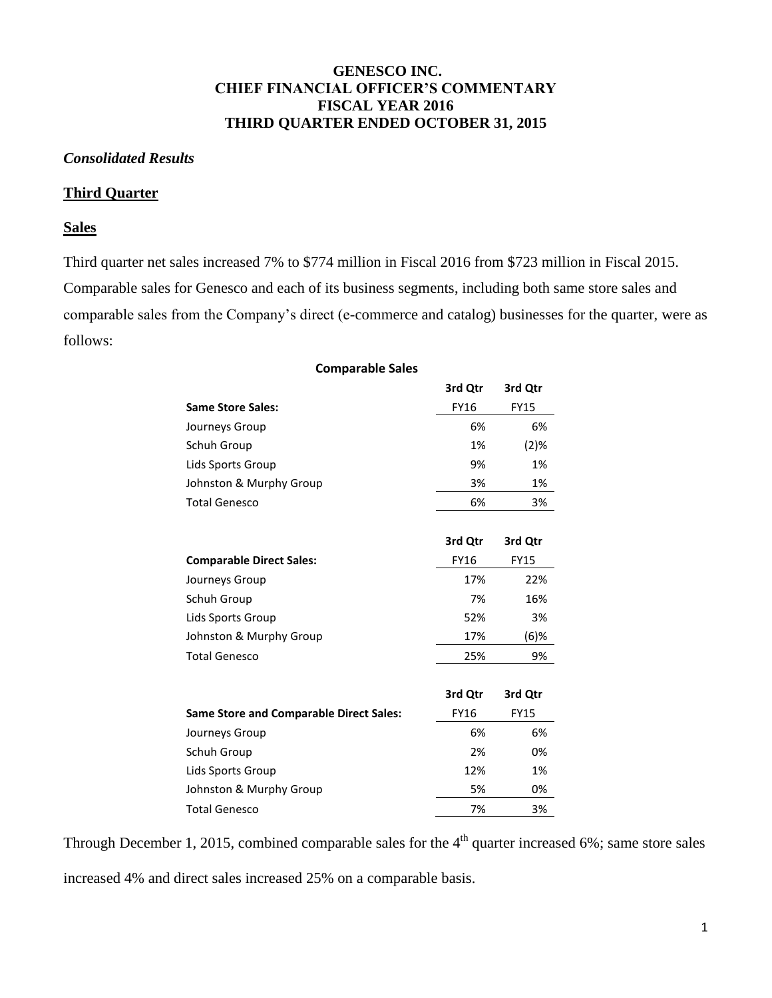## **GENESCO INC. CHIEF FINANCIAL OFFICER'S COMMENTARY FISCAL YEAR 2016 THIRD QUARTER ENDED OCTOBER 31, 2015**

## *Consolidated Results*

## **Third Quarter**

## **Sales**

Third quarter net sales increased 7% to \$774 million in Fiscal 2016 from \$723 million in Fiscal 2015. Comparable sales for Genesco and each of its business segments, including both same store sales and comparable sales from the Company's direct (e-commerce and catalog) businesses for the quarter, were as follows:

|                                                | 3rd Qtr     | 3rd Qtr     |
|------------------------------------------------|-------------|-------------|
| <b>Same Store Sales:</b>                       | <b>FY16</b> | <b>FY15</b> |
| Journeys Group                                 | 6%          | 6%          |
| Schuh Group                                    | 1%          | $(2)$ %     |
| Lids Sports Group                              | 9%          | 1%          |
| Johnston & Murphy Group                        | 3%          | 1%          |
| <b>Total Genesco</b>                           | 6%          | 3%          |
|                                                | 3rd Qtr     | 3rd Qtr     |
| <b>Comparable Direct Sales:</b>                | <b>FY16</b> | <b>FY15</b> |
| Journeys Group                                 | 17%         | 22%         |
| Schuh Group                                    | 7%          | 16%         |
| Lids Sports Group                              | 52%         | 3%          |
| Johnston & Murphy Group                        | 17%         | $(6)$ %     |
| <b>Total Genesco</b>                           | 25%         | 9%          |
|                                                | 3rd Qtr     | 3rd Qtr     |
| <b>Same Store and Comparable Direct Sales:</b> | <b>FY16</b> | <b>FY15</b> |
| Journeys Group                                 | 6%          | 6%          |
| Schuh Group                                    | 2%          | 0%          |
| Lids Sports Group                              | 12%         | 1%          |
| Johnston & Murphy Group                        | 5%          | 0%          |
| <b>Total Genesco</b>                           | 7%          | 3%          |

#### **Comparable Sales**

Through December 1, 2015, combined comparable sales for the  $4<sup>th</sup>$  quarter increased 6%; same store sales

increased 4% and direct sales increased 25% on a comparable basis.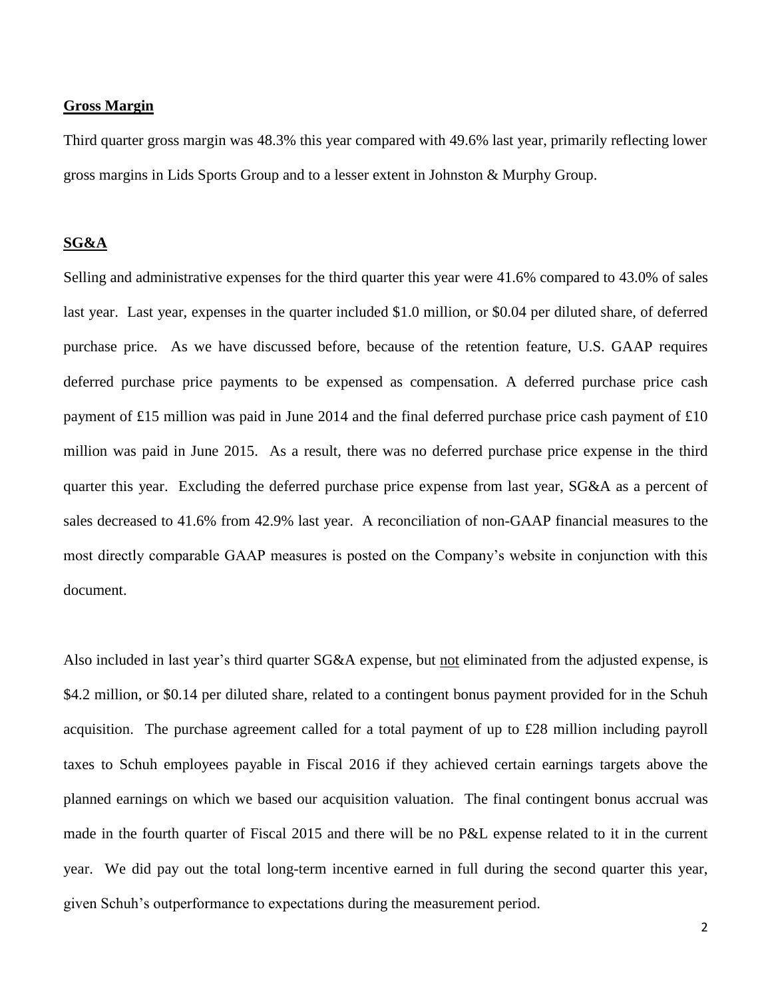### **Gross Margin**

Third quarter gross margin was 48.3% this year compared with 49.6% last year, primarily reflecting lower gross margins in Lids Sports Group and to a lesser extent in Johnston & Murphy Group.

## **SG&A**

Selling and administrative expenses for the third quarter this year were 41.6% compared to 43.0% of sales last year. Last year, expenses in the quarter included \$1.0 million, or \$0.04 per diluted share, of deferred purchase price. As we have discussed before, because of the retention feature, U.S. GAAP requires deferred purchase price payments to be expensed as compensation. A deferred purchase price cash payment of £15 million was paid in June 2014 and the final deferred purchase price cash payment of £10 million was paid in June 2015. As a result, there was no deferred purchase price expense in the third quarter this year. Excluding the deferred purchase price expense from last year, SG&A as a percent of sales decreased to 41.6% from 42.9% last year. A reconciliation of non-GAAP financial measures to the most directly comparable GAAP measures is posted on the Company's website in conjunction with this document.

Also included in last year's third quarter SG&A expense, but not eliminated from the adjusted expense, is \$4.2 million, or \$0.14 per diluted share, related to a contingent bonus payment provided for in the Schuh acquisition. The purchase agreement called for a total payment of up to £28 million including payroll taxes to Schuh employees payable in Fiscal 2016 if they achieved certain earnings targets above the planned earnings on which we based our acquisition valuation. The final contingent bonus accrual was made in the fourth quarter of Fiscal 2015 and there will be no P&L expense related to it in the current year. We did pay out the total long-term incentive earned in full during the second quarter this year, given Schuh's outperformance to expectations during the measurement period.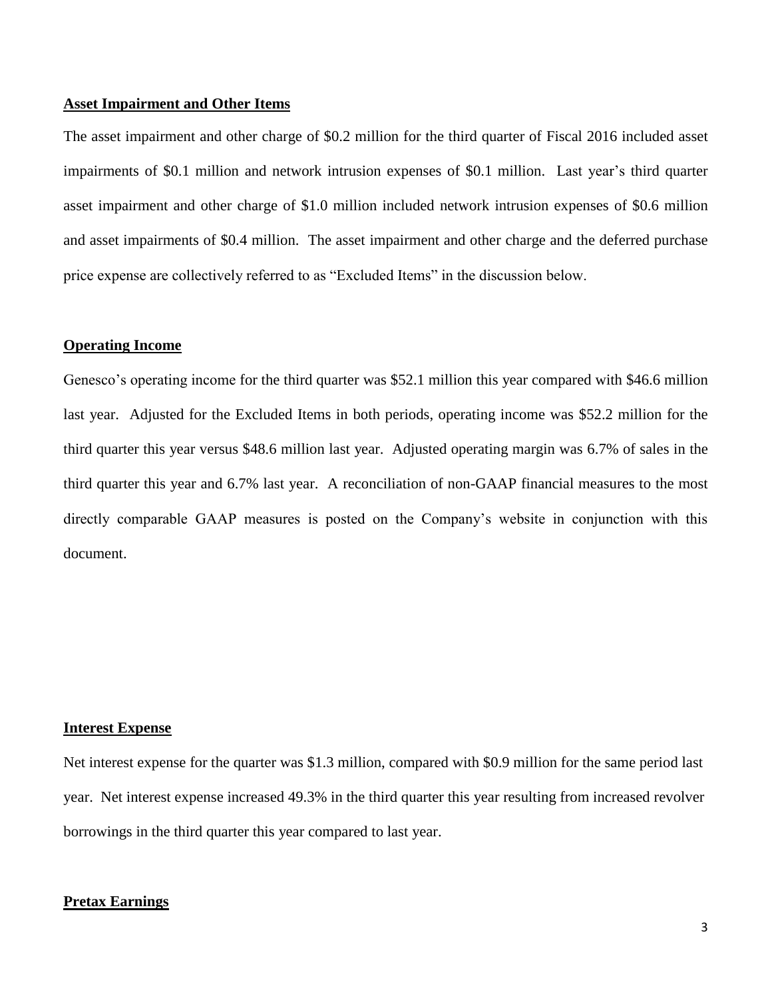### **Asset Impairment and Other Items**

The asset impairment and other charge of \$0.2 million for the third quarter of Fiscal 2016 included asset impairments of \$0.1 million and network intrusion expenses of \$0.1 million. Last year's third quarter asset impairment and other charge of \$1.0 million included network intrusion expenses of \$0.6 million and asset impairments of \$0.4 million. The asset impairment and other charge and the deferred purchase price expense are collectively referred to as "Excluded Items" in the discussion below.

#### **Operating Income**

Genesco's operating income for the third quarter was \$52.1 million this year compared with \$46.6 million last year. Adjusted for the Excluded Items in both periods, operating income was \$52.2 million for the third quarter this year versus \$48.6 million last year. Adjusted operating margin was 6.7% of sales in the third quarter this year and 6.7% last year. A reconciliation of non-GAAP financial measures to the most directly comparable GAAP measures is posted on the Company's website in conjunction with this document.

## **Interest Expense**

Net interest expense for the quarter was \$1.3 million, compared with \$0.9 million for the same period last year. Net interest expense increased 49.3% in the third quarter this year resulting from increased revolver borrowings in the third quarter this year compared to last year.

### **Pretax Earnings**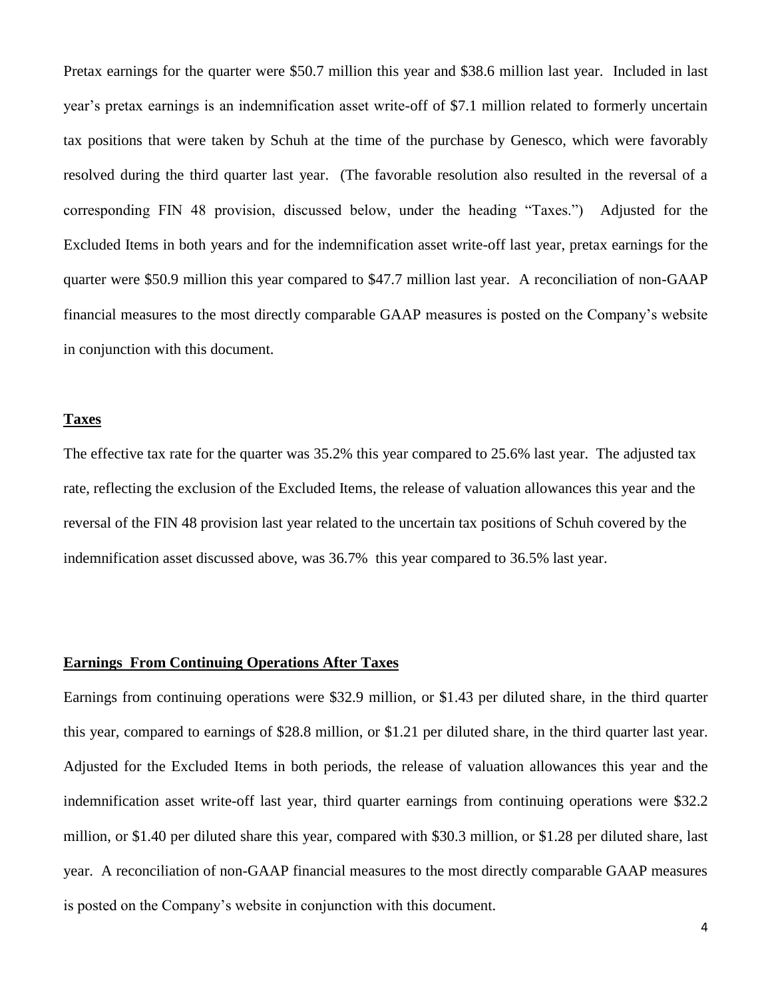Pretax earnings for the quarter were \$50.7 million this year and \$38.6 million last year. Included in last year's pretax earnings is an indemnification asset write-off of \$7.1 million related to formerly uncertain tax positions that were taken by Schuh at the time of the purchase by Genesco, which were favorably resolved during the third quarter last year. (The favorable resolution also resulted in the reversal of a corresponding FIN 48 provision, discussed below, under the heading "Taxes.") Adjusted for the Excluded Items in both years and for the indemnification asset write-off last year, pretax earnings for the quarter were \$50.9 million this year compared to \$47.7 million last year. A reconciliation of non-GAAP financial measures to the most directly comparable GAAP measures is posted on the Company's website in conjunction with this document.

### **Taxes**

The effective tax rate for the quarter was 35.2% this year compared to 25.6% last year. The adjusted tax rate, reflecting the exclusion of the Excluded Items, the release of valuation allowances this year and the reversal of the FIN 48 provision last year related to the uncertain tax positions of Schuh covered by the indemnification asset discussed above, was 36.7% this year compared to 36.5% last year.

### **Earnings From Continuing Operations After Taxes**

Earnings from continuing operations were \$32.9 million, or \$1.43 per diluted share, in the third quarter this year, compared to earnings of \$28.8 million, or \$1.21 per diluted share, in the third quarter last year. Adjusted for the Excluded Items in both periods, the release of valuation allowances this year and the indemnification asset write-off last year, third quarter earnings from continuing operations were \$32.2 million, or \$1.40 per diluted share this year, compared with \$30.3 million, or \$1.28 per diluted share, last year. A reconciliation of non-GAAP financial measures to the most directly comparable GAAP measures is posted on the Company's website in conjunction with this document.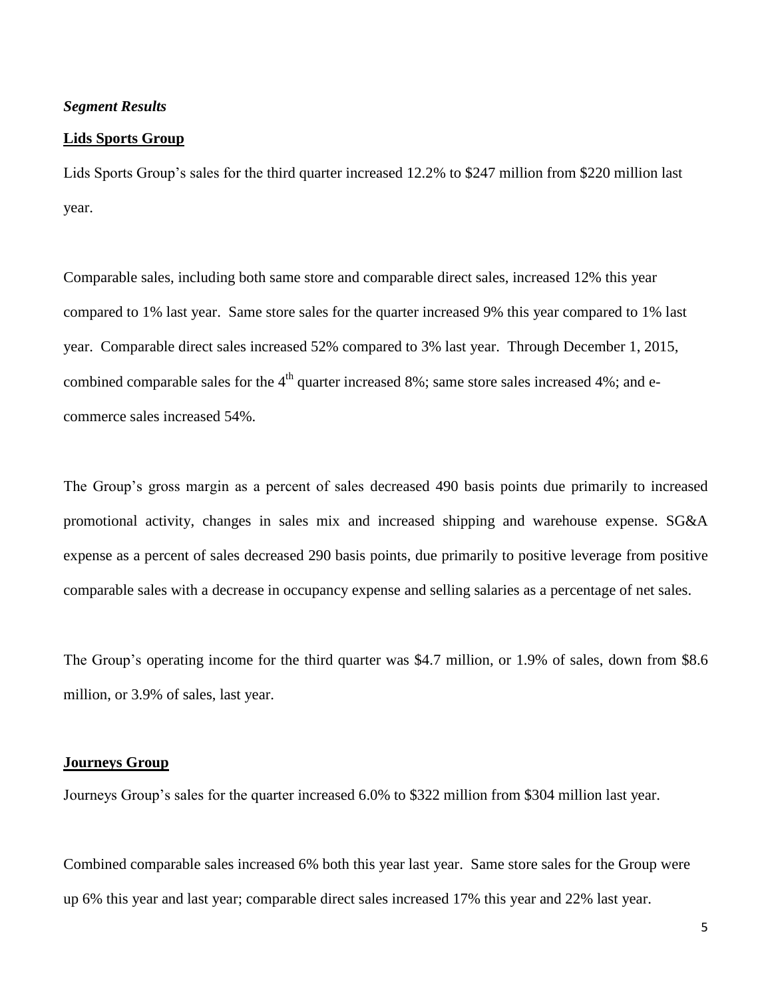## *Segment Results*

#### **Lids Sports Group**

Lids Sports Group's sales for the third quarter increased 12.2% to \$247 million from \$220 million last year.

Comparable sales, including both same store and comparable direct sales, increased 12% this year compared to 1% last year. Same store sales for the quarter increased 9% this year compared to 1% last year. Comparable direct sales increased 52% compared to 3% last year. Through December 1, 2015, combined comparable sales for the  $4<sup>th</sup>$  quarter increased 8%; same store sales increased 4%; and ecommerce sales increased 54%.

The Group's gross margin as a percent of sales decreased 490 basis points due primarily to increased promotional activity, changes in sales mix and increased shipping and warehouse expense. SG&A expense as a percent of sales decreased 290 basis points, due primarily to positive leverage from positive comparable sales with a decrease in occupancy expense and selling salaries as a percentage of net sales.

The Group's operating income for the third quarter was \$4.7 million, or 1.9% of sales, down from \$8.6 million, or 3.9% of sales, last year.

## **Journeys Group**

Journeys Group's sales for the quarter increased 6.0% to \$322 million from \$304 million last year.

Combined comparable sales increased 6% both this year last year. Same store sales for the Group were up 6% this year and last year; comparable direct sales increased 17% this year and 22% last year.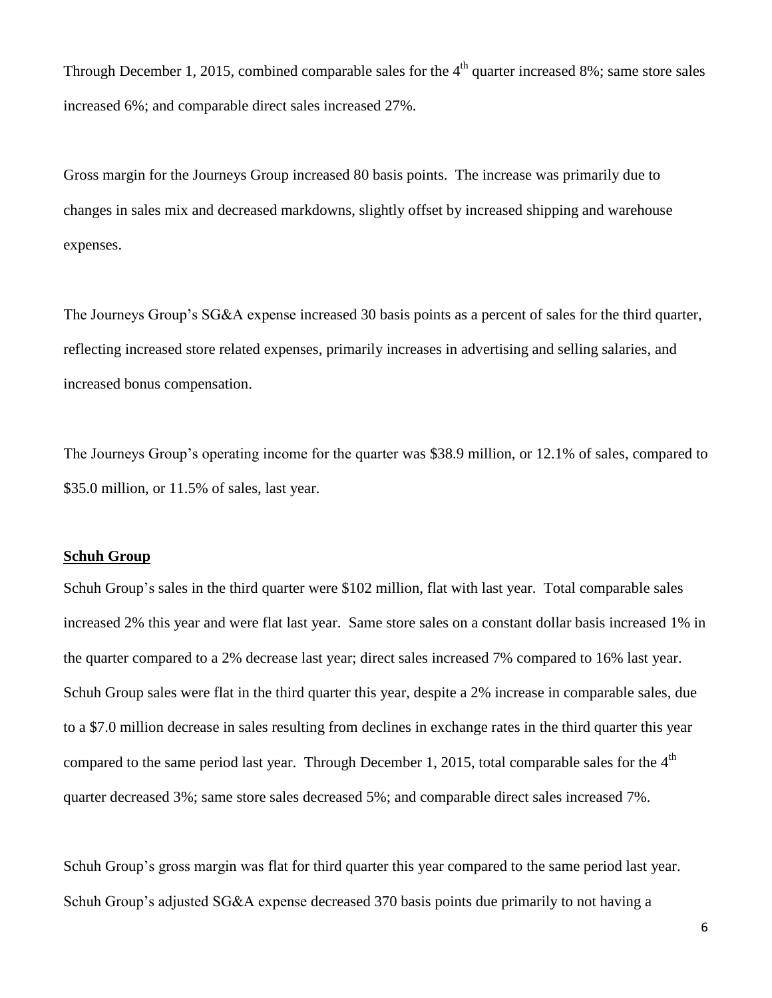Through December 1, 2015, combined comparable sales for the  $4<sup>th</sup>$  quarter increased 8%; same store sales increased 6%; and comparable direct sales increased 27%.

Gross margin for the Journeys Group increased 80 basis points. The increase was primarily due to changes in sales mix and decreased markdowns, slightly offset by increased shipping and warehouse expenses.

The Journeys Group's SG&A expense increased 30 basis points as a percent of sales for the third quarter, reflecting increased store related expenses, primarily increases in advertising and selling salaries, and increased bonus compensation.

The Journeys Group's operating income for the quarter was \$38.9 million, or 12.1% of sales, compared to \$35.0 million, or 11.5% of sales, last year.

## **Schuh Group**

Schuh Group's sales in the third quarter were \$102 million, flat with last year. Total comparable sales increased 2% this year and were flat last year. Same store sales on a constant dollar basis increased 1% in the quarter compared to a 2% decrease last year; direct sales increased 7% compared to 16% last year. Schuh Group sales were flat in the third quarter this year, despite a 2% increase in comparable sales, due to a \$7.0 million decrease in sales resulting from declines in exchange rates in the third quarter this year compared to the same period last year. Through December 1, 2015, total comparable sales for the 4<sup>th</sup> quarter decreased 3%; same store sales decreased 5%; and comparable direct sales increased 7%.

Schuh Group's gross margin was flat for third quarter this year compared to the same period last year. Schuh Group's adjusted SG&A expense decreased 370 basis points due primarily to not having a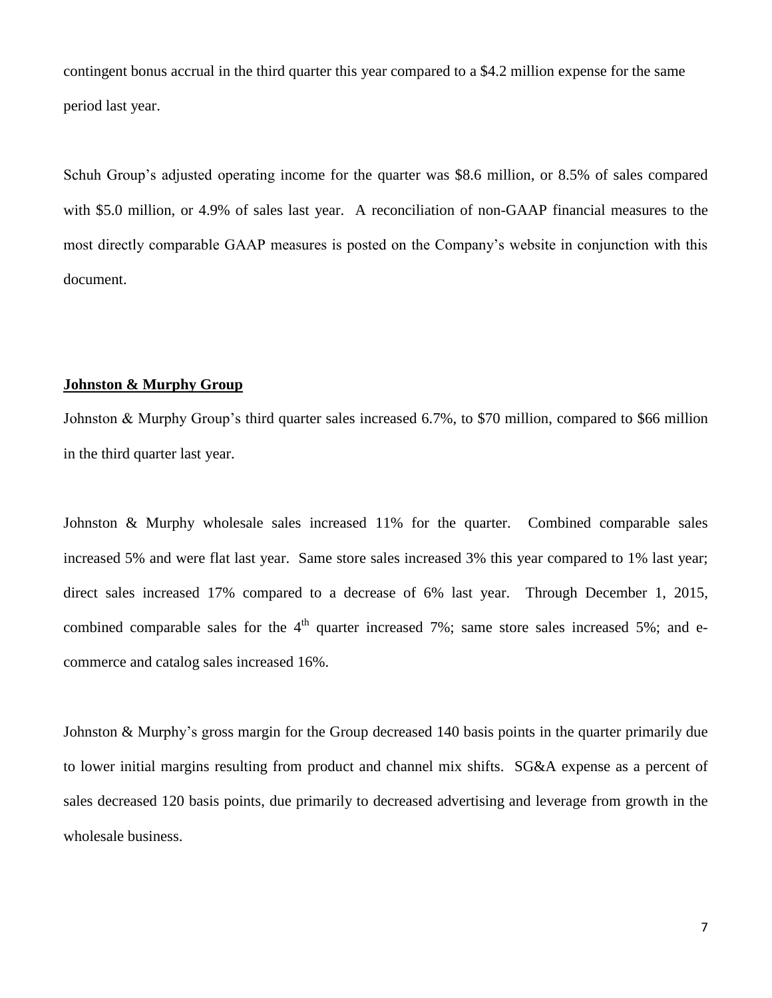contingent bonus accrual in the third quarter this year compared to a \$4.2 million expense for the same period last year.

Schuh Group's adjusted operating income for the quarter was \$8.6 million, or 8.5% of sales compared with \$5.0 million, or 4.9% of sales last year. A reconciliation of non-GAAP financial measures to the most directly comparable GAAP measures is posted on the Company's website in conjunction with this document.

## **Johnston & Murphy Group**

Johnston & Murphy Group's third quarter sales increased 6.7%, to \$70 million, compared to \$66 million in the third quarter last year.

Johnston & Murphy wholesale sales increased 11% for the quarter. Combined comparable sales increased 5% and were flat last year. Same store sales increased 3% this year compared to 1% last year; direct sales increased 17% compared to a decrease of 6% last year. Through December 1, 2015, combined comparable sales for the  $4<sup>th</sup>$  quarter increased 7%; same store sales increased 5%; and ecommerce and catalog sales increased 16%.

Johnston & Murphy's gross margin for the Group decreased 140 basis points in the quarter primarily due to lower initial margins resulting from product and channel mix shifts. SG&A expense as a percent of sales decreased 120 basis points, due primarily to decreased advertising and leverage from growth in the wholesale business.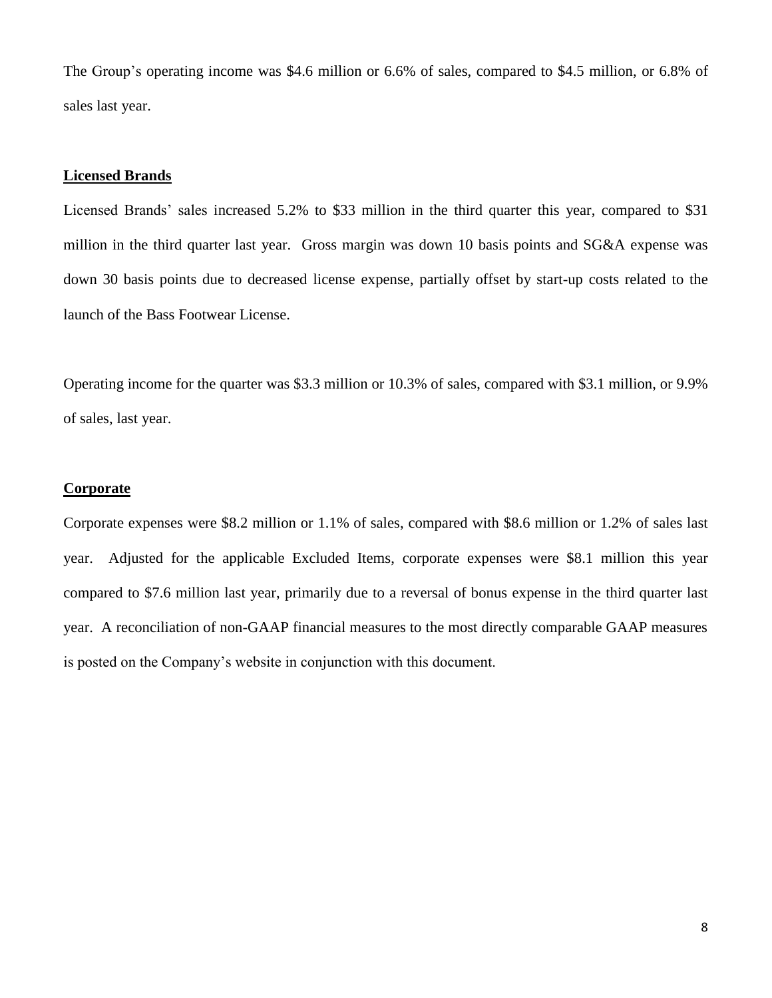The Group's operating income was \$4.6 million or 6.6% of sales, compared to \$4.5 million, or 6.8% of sales last year.

## **Licensed Brands**

Licensed Brands' sales increased 5.2% to \$33 million in the third quarter this year, compared to \$31 million in the third quarter last year. Gross margin was down 10 basis points and SG&A expense was down 30 basis points due to decreased license expense, partially offset by start-up costs related to the launch of the Bass Footwear License.

Operating income for the quarter was \$3.3 million or 10.3% of sales, compared with \$3.1 million, or 9.9% of sales, last year.

## **Corporate**

Corporate expenses were \$8.2 million or 1.1% of sales, compared with \$8.6 million or 1.2% of sales last year. Adjusted for the applicable Excluded Items, corporate expenses were \$8.1 million this year compared to \$7.6 million last year, primarily due to a reversal of bonus expense in the third quarter last year. A reconciliation of non-GAAP financial measures to the most directly comparable GAAP measures is posted on the Company's website in conjunction with this document.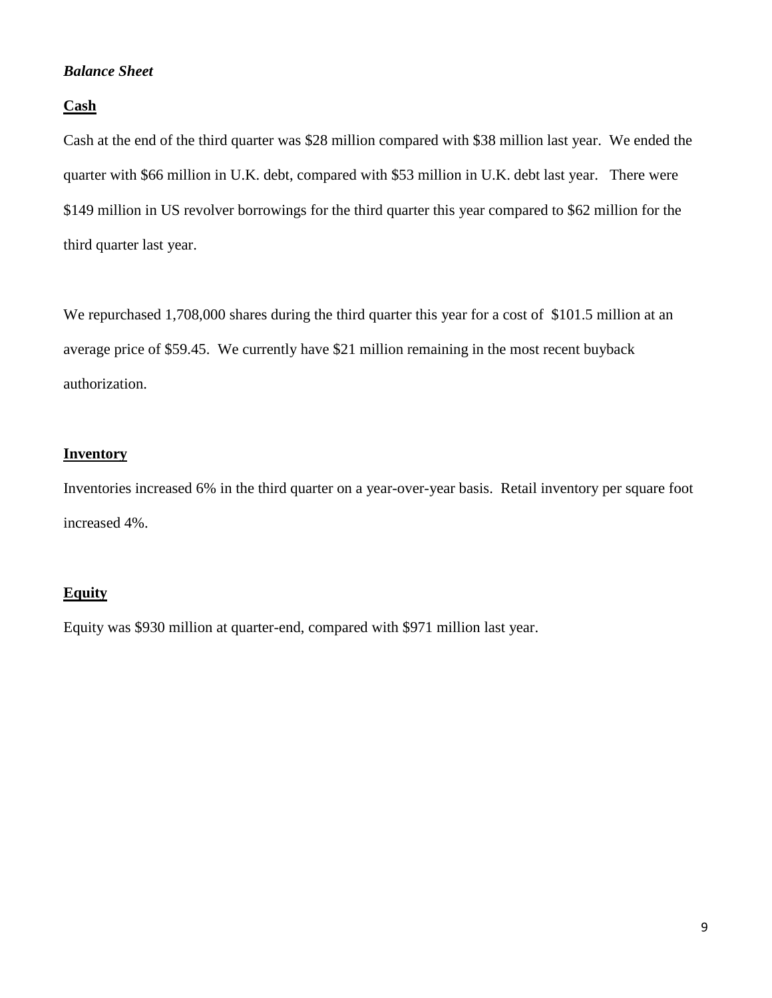## *Balance Sheet*

## **Cash**

Cash at the end of the third quarter was \$28 million compared with \$38 million last year. We ended the quarter with \$66 million in U.K. debt, compared with \$53 million in U.K. debt last year. There were \$149 million in US revolver borrowings for the third quarter this year compared to \$62 million for the third quarter last year.

We repurchased 1,708,000 shares during the third quarter this year for a cost of \$101.5 million at an average price of \$59.45. We currently have \$21 million remaining in the most recent buyback authorization.

## **Inventory**

Inventories increased 6% in the third quarter on a year-over-year basis. Retail inventory per square foot increased 4%.

## **Equity**

Equity was \$930 million at quarter-end, compared with \$971 million last year.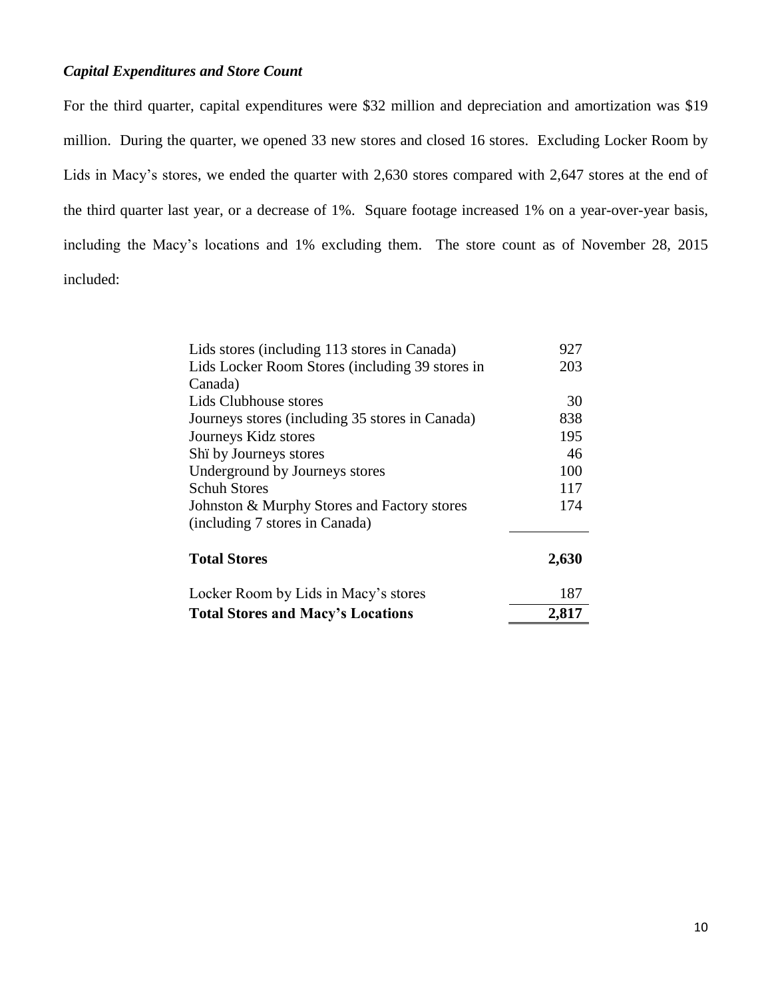# *Capital Expenditures and Store Count*

For the third quarter, capital expenditures were \$32 million and depreciation and amortization was \$19 million. During the quarter, we opened 33 new stores and closed 16 stores. Excluding Locker Room by Lids in Macy's stores, we ended the quarter with 2,630 stores compared with 2,647 stores at the end of the third quarter last year, or a decrease of 1%. Square footage increased 1% on a year-over-year basis, including the Macy's locations and 1% excluding them. The store count as of November 28, 2015 included:

| Lids stores (including 113 stores in Canada)    | 927   |
|-------------------------------------------------|-------|
| Lids Locker Room Stores (including 39 stores in | 203   |
| Canada)                                         |       |
| Lids Clubhouse stores                           | 30    |
| Journeys stores (including 35 stores in Canada) | 838   |
| Journeys Kidz stores                            | 195   |
| Shi by Journeys stores                          | 46    |
| Underground by Journeys stores                  | 100   |
| <b>Schuh Stores</b>                             | 117   |
| Johnston & Murphy Stores and Factory stores     | 174   |
| (including 7 stores in Canada)                  |       |
| <b>Total Stores</b>                             | 2,630 |
| Locker Room by Lids in Macy's stores            | 187   |
| <b>Total Stores and Macy's Locations</b>        | 2,817 |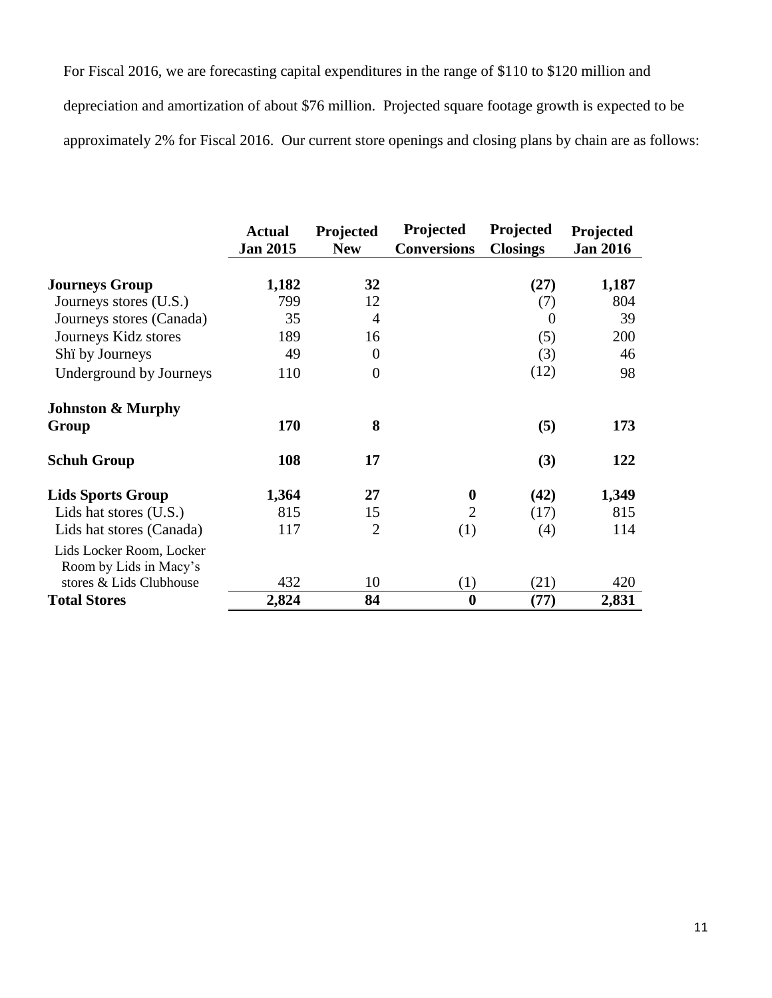For Fiscal 2016, we are forecasting capital expenditures in the range of \$110 to \$120 million and depreciation and amortization of about \$76 million. Projected square footage growth is expected to be approximately 2% for Fiscal 2016. Our current store openings and closing plans by chain are as follows:

|                                                    | <b>Actual</b>   | Projected      | Projected          | Projected       | Projected       |
|----------------------------------------------------|-----------------|----------------|--------------------|-----------------|-----------------|
|                                                    | <b>Jan 2015</b> | <b>New</b>     | <b>Conversions</b> | <b>Closings</b> | <b>Jan 2016</b> |
| <b>Journeys Group</b>                              | 1,182           | 32             |                    | (27)            | 1,187           |
| Journeys stores (U.S.)                             | 799             | 12             |                    | (7)             | 804             |
| Journeys stores (Canada)                           | 35              | 4              |                    | $\overline{0}$  | 39              |
| Journeys Kidz stores                               | 189             | 16             |                    | (5)             | 200             |
| Shi by Journeys                                    | 49              | $\theta$       |                    | (3)             | 46              |
| Underground by Journeys                            | 110             | $\overline{0}$ |                    | (12)            | 98              |
| <b>Johnston &amp; Murphy</b>                       |                 |                |                    |                 |                 |
| Group                                              | 170             | 8              |                    | (5)             | 173             |
| <b>Schuh Group</b>                                 | 108             | 17             |                    | (3)             | 122             |
| <b>Lids Sports Group</b>                           | 1,364           | 27             | $\boldsymbol{0}$   | (42)            | 1,349           |
| Lids hat stores (U.S.)                             | 815             | 15             | $\overline{2}$     | (17)            | 815             |
| Lids hat stores (Canada)                           | 117             | $\overline{2}$ | (1)                | (4)             | 114             |
| Lids Locker Room, Locker<br>Room by Lids in Macy's |                 |                |                    |                 |                 |
| stores & Lids Clubhouse                            | 432             | 10             | (1)                | (21)            | 420             |
| <b>Total Stores</b>                                | 2,824           | 84             | $\boldsymbol{0}$   | (77)            | 2,831           |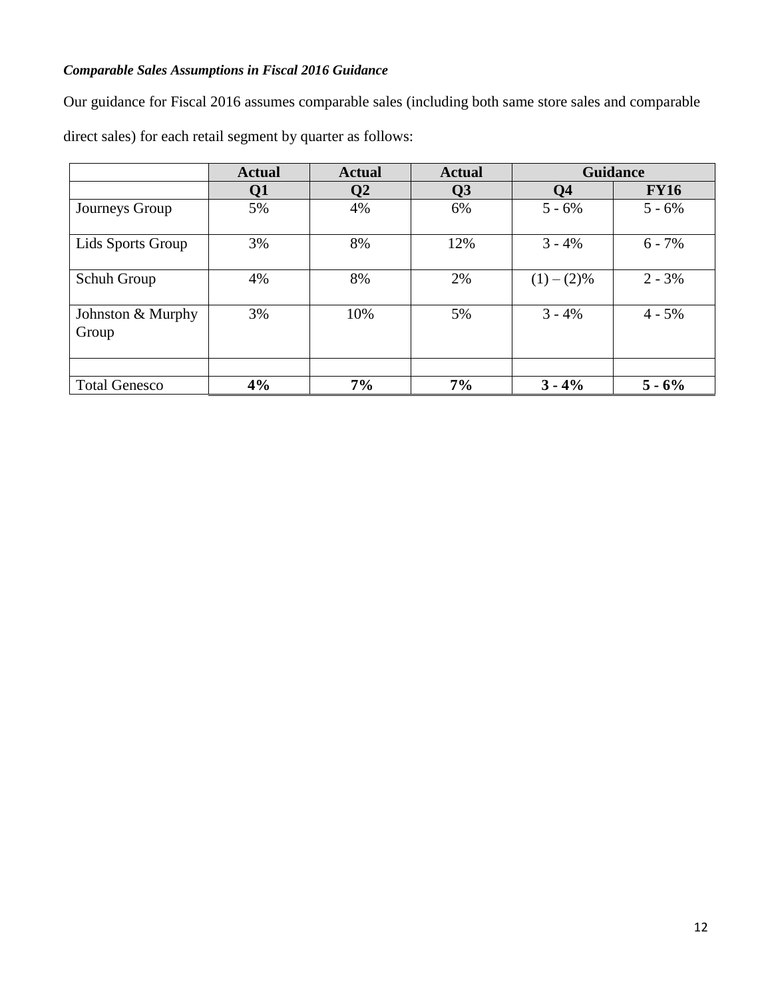# *Comparable Sales Assumptions in Fiscal 2016 Guidance*

Our guidance for Fiscal 2016 assumes comparable sales (including both same store sales and comparable

direct sales) for each retail segment by quarter as follows:

|                            | <b>Actual</b> | <b>Actual</b> | <b>Actual</b> | <b>Guidance</b> |             |
|----------------------------|---------------|---------------|---------------|-----------------|-------------|
|                            | Q1            | Q2            | Q3            | Q <sub>4</sub>  | <b>FY16</b> |
| Journeys Group             | 5%            | 4%            | 6%            | $5 - 6\%$       | $5 - 6\%$   |
| Lids Sports Group          | 3%            | 8%            | 12%           | $3 - 4%$        | $6 - 7\%$   |
| Schuh Group                | 4%            | 8%            | 2%            | $(1)-(2)%$      | $2 - 3\%$   |
| Johnston & Murphy<br>Group | 3%            | 10%           | 5%            | $3 - 4%$        | $4 - 5\%$   |
| <b>Total Genesco</b>       | 4%            | 7%            | 7%            | $3 - 4\%$       | $5 - 6\%$   |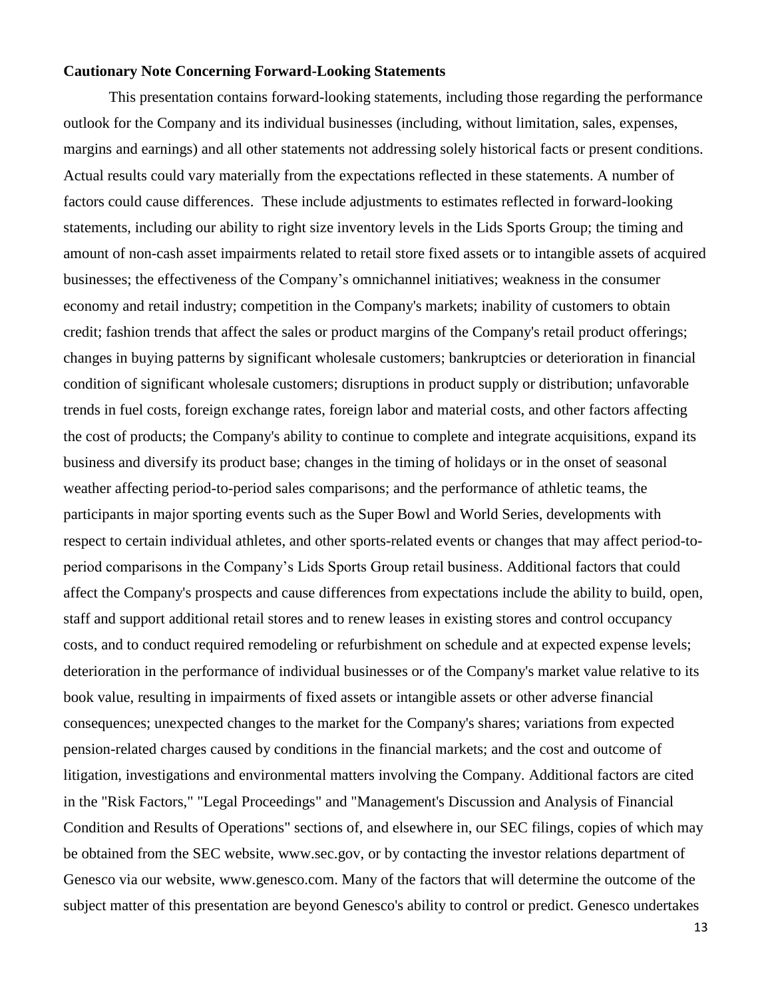### **Cautionary Note Concerning Forward-Looking Statements**

This presentation contains forward-looking statements, including those regarding the performance outlook for the Company and its individual businesses (including, without limitation, sales, expenses, margins and earnings) and all other statements not addressing solely historical facts or present conditions. Actual results could vary materially from the expectations reflected in these statements. A number of factors could cause differences. These include adjustments to estimates reflected in forward-looking statements, including our ability to right size inventory levels in the Lids Sports Group; the timing and amount of non-cash asset impairments related to retail store fixed assets or to intangible assets of acquired businesses; the effectiveness of the Company's omnichannel initiatives; weakness in the consumer economy and retail industry; competition in the Company's markets; inability of customers to obtain credit; fashion trends that affect the sales or product margins of the Company's retail product offerings; changes in buying patterns by significant wholesale customers; bankruptcies or deterioration in financial condition of significant wholesale customers; disruptions in product supply or distribution; unfavorable trends in fuel costs, foreign exchange rates, foreign labor and material costs, and other factors affecting the cost of products; the Company's ability to continue to complete and integrate acquisitions, expand its business and diversify its product base; changes in the timing of holidays or in the onset of seasonal weather affecting period-to-period sales comparisons; and the performance of athletic teams, the participants in major sporting events such as the Super Bowl and World Series, developments with respect to certain individual athletes, and other sports-related events or changes that may affect period-toperiod comparisons in the Company's Lids Sports Group retail business. Additional factors that could affect the Company's prospects and cause differences from expectations include the ability to build, open, staff and support additional retail stores and to renew leases in existing stores and control occupancy costs, and to conduct required remodeling or refurbishment on schedule and at expected expense levels; deterioration in the performance of individual businesses or of the Company's market value relative to its book value, resulting in impairments of fixed assets or intangible assets or other adverse financial consequences; unexpected changes to the market for the Company's shares; variations from expected pension-related charges caused by conditions in the financial markets; and the cost and outcome of litigation, investigations and environmental matters involving the Company. Additional factors are cited in the "Risk Factors," "Legal Proceedings" and "Management's Discussion and Analysis of Financial Condition and Results of Operations" sections of, and elsewhere in, our SEC filings, copies of which may be obtained from the SEC website, [www.sec.gov,](http://www.sec.gov/) or by contacting the investor relations department of Genesco via our website, [www.genesco.com.](http://www.genesco.com/) Many of the factors that will determine the outcome of the subject matter of this presentation are beyond Genesco's ability to control or predict. Genesco undertakes